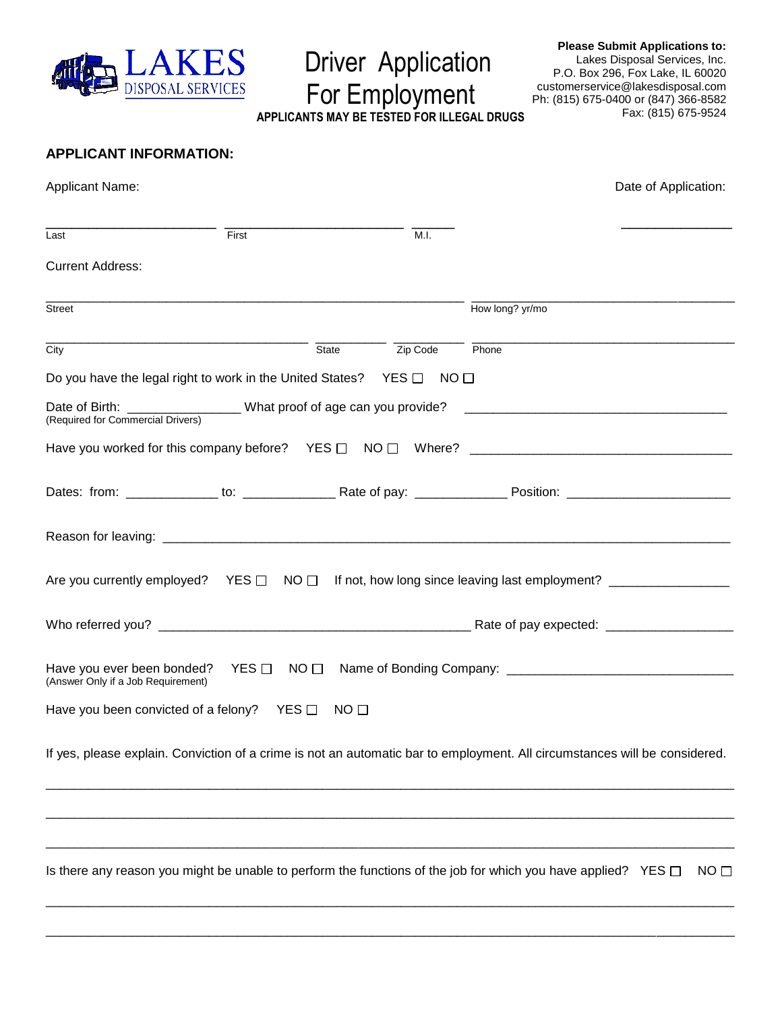

Driver Application

For Employment

**APPLICANTS MAY BE TESTED FOR ILLEGAL DRUGS**

**Please Submit Applications to:** Lakes Disposal Services, Inc. P.O. Box 296, Fox Lake, IL 60020 customerservice@lakesdisposal.com Ph: (815) 675-0400 or (847) 366-8582 Fax: (815) 675-9524

# **APPLICANT INFORMATION:**

| <b>Applicant Name:</b>                          |                                                                                                                            |                         |                 | Date of Application: |
|-------------------------------------------------|----------------------------------------------------------------------------------------------------------------------------|-------------------------|-----------------|----------------------|
| Last                                            | First                                                                                                                      | M.I.                    |                 |                      |
| <b>Current Address:</b>                         |                                                                                                                            |                         |                 |                      |
| Street                                          |                                                                                                                            |                         | How long? yr/mo |                      |
| City                                            |                                                                                                                            | State<br>Zip Code Phone |                 |                      |
|                                                 | Do you have the legal right to work in the United States? YES $\Box$ NO $\Box$                                             |                         |                 |                      |
| (Required for Commercial Drivers)               |                                                                                                                            |                         |                 |                      |
|                                                 |                                                                                                                            |                         |                 |                      |
|                                                 |                                                                                                                            |                         |                 |                      |
|                                                 |                                                                                                                            |                         |                 |                      |
|                                                 | Are you currently employed? YES $\Box$ NO $\Box$ If not, how long since leaving last employment? __________________        |                         |                 |                      |
|                                                 |                                                                                                                            |                         |                 |                      |
| (Answer Only if a Job Requirement)              | Have you ever been bonded? YES $\Box$ NO $\Box$                                                                            |                         |                 |                      |
| Have you been convicted of a felony? YES $\Box$ |                                                                                                                            | NO <sub>1</sub>         |                 |                      |
|                                                 | If yes, please explain. Conviction of a crime is not an automatic bar to employment. All circumstances will be considered. |                         |                 |                      |
|                                                 |                                                                                                                            |                         |                 |                      |
|                                                 |                                                                                                                            |                         |                 |                      |
|                                                 | Is there any reason you might be unable to perform the functions of the job for which you have applied? YES $\Box$         |                         |                 | NO <sub>1</sub>      |
|                                                 |                                                                                                                            |                         |                 |                      |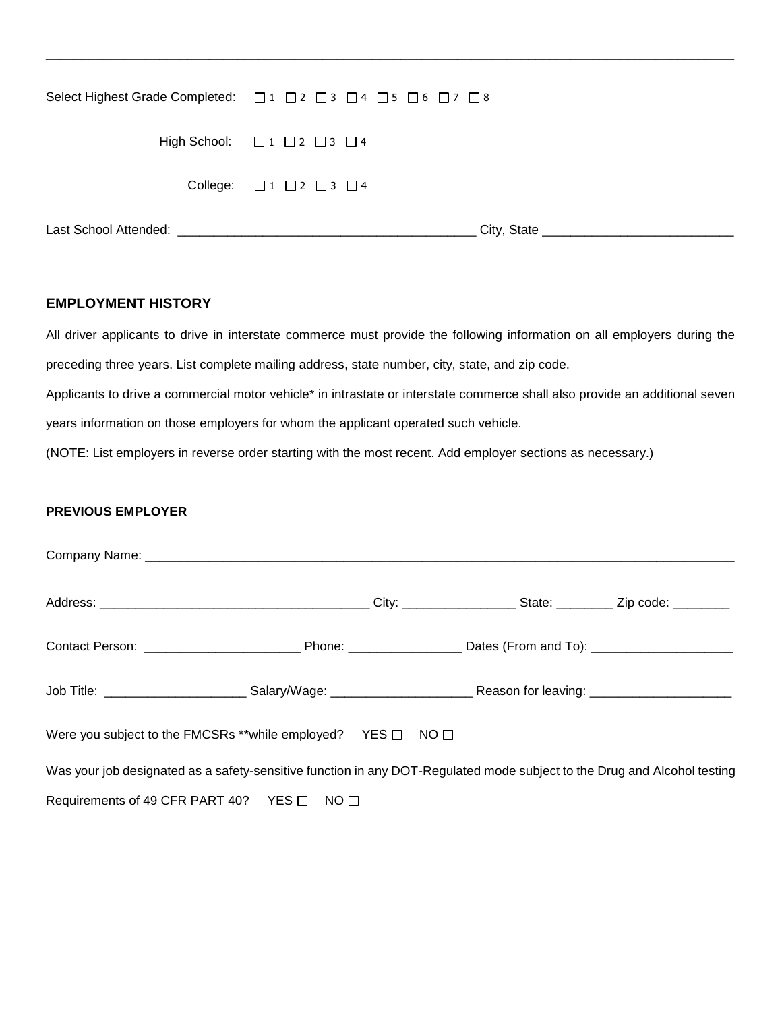| Select Highest Grade Completed: □1 □2 □3 □4 □5 □6 □7 □8 |
|---------------------------------------------------------|
| High School: $\Box$ 1 $\Box$ 2 $\Box$ 3 $\Box$ 4        |
| College: $\Box$ 1 $\Box$ 2 $\Box$ 3 $\Box$ 4            |
| City, State                                             |

\_\_\_\_\_\_\_\_\_\_\_\_\_\_\_\_\_\_\_\_\_\_\_\_\_\_\_\_\_\_\_\_\_\_\_\_\_\_\_\_\_\_\_\_\_\_\_\_\_\_\_\_\_\_\_\_\_\_\_\_\_\_\_\_\_\_\_\_\_\_\_\_\_\_\_\_\_\_\_\_\_\_\_\_\_\_\_\_\_\_\_\_\_\_\_\_\_

# **EMPLOYMENT HISTORY**

All driver applicants to drive in interstate commerce must provide the following information on all employers during the preceding three years. List complete mailing address, state number, city, state, and zip code. Applicants to drive a commercial motor vehicle\* in intrastate or interstate commerce shall also provide an additional seven years information on those employers for whom the applicant operated such vehicle. (NOTE: List employers in reverse order starting with the most recent. Add employer sections as necessary.)

### **PREVIOUS EMPLOYER**

| Contact Person: ___________________________________Phone: _____________________Dates (From and To): ___________________________________ |  |  |  |
|-----------------------------------------------------------------------------------------------------------------------------------------|--|--|--|
|                                                                                                                                         |  |  |  |
| Were you subject to the FMCSRs **while employed? YES □ NO □                                                                             |  |  |  |
| Was your job designated as a safety-sensitive function in any DOT-Regulated mode subject to the Drug and Alcohol testing                |  |  |  |
| Requirements of 49 CFR PART 40? YES □ NO □                                                                                              |  |  |  |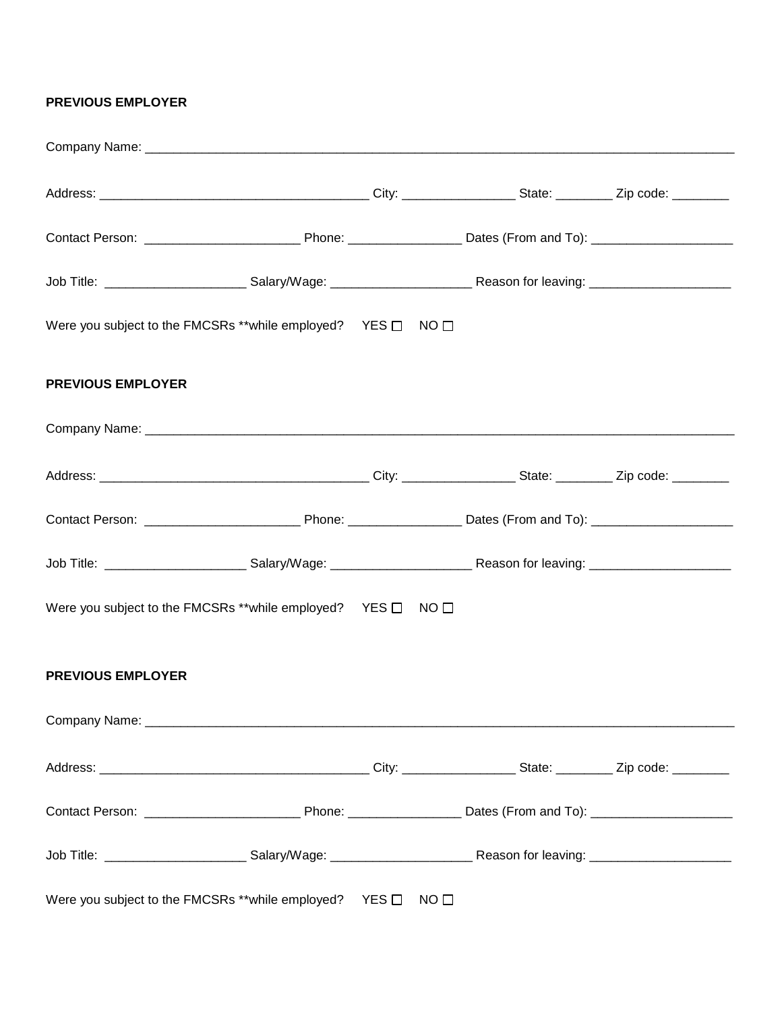### **PREVIOUS EMPLOYER**

|                          | Were you subject to the FMCSRs **while employed? YES □ NO □ |                 |  |
|--------------------------|-------------------------------------------------------------|-----------------|--|
| <b>PREVIOUS EMPLOYER</b> |                                                             |                 |  |
|                          |                                                             |                 |  |
|                          |                                                             |                 |  |
|                          |                                                             |                 |  |
|                          |                                                             |                 |  |
|                          | Were you subject to the FMCSRs **while employed? YES □ NO □ |                 |  |
| <b>PREVIOUS EMPLOYER</b> |                                                             |                 |  |
|                          |                                                             |                 |  |
|                          |                                                             |                 |  |
|                          |                                                             |                 |  |
|                          |                                                             |                 |  |
|                          | Were you subject to the FMCSRs **while employed? YES □      | NO <sub>1</sub> |  |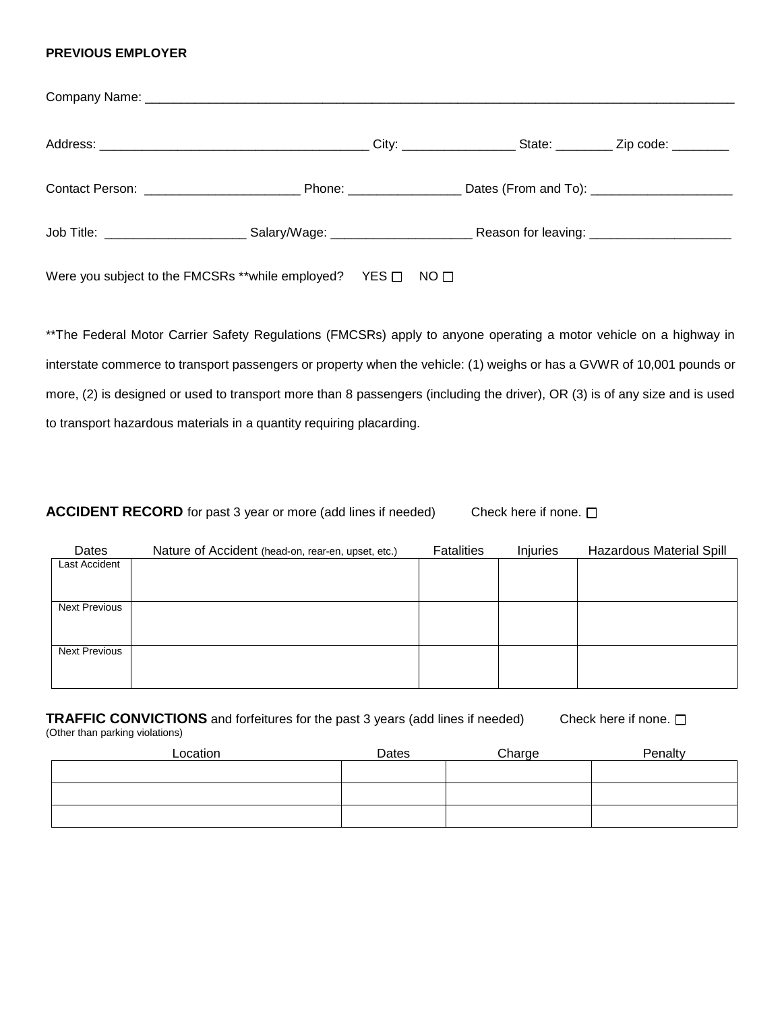#### **PREVIOUS EMPLOYER**

| Were you subject to the FMCSRs **while employed? YES $\Box$ NO $\Box$ |  |  |
|-----------------------------------------------------------------------|--|--|

\*\*The Federal Motor Carrier Safety Regulations (FMCSRs) apply to anyone operating a motor vehicle on a highway in interstate commerce to transport passengers or property when the vehicle: (1) weighs or has a GVWR of 10,001 pounds or more, (2) is designed or used to transport more than 8 passengers (including the driver), OR (3) is of any size and is used to transport hazardous materials in a quantity requiring placarding.

**ACCIDENT RECORD** for past 3 year or more (add lines if needed) Check here if none.  $\Box$ 

| Dates                | Nature of Accident (head-on, rear-en, upset, etc.) | <b>Fatalities</b> | <b>Injuries</b> | <b>Hazardous Material Spill</b> |
|----------------------|----------------------------------------------------|-------------------|-----------------|---------------------------------|
| Last Accident        |                                                    |                   |                 |                                 |
|                      |                                                    |                   |                 |                                 |
| <b>Next Previous</b> |                                                    |                   |                 |                                 |
|                      |                                                    |                   |                 |                                 |
| <b>Next Previous</b> |                                                    |                   |                 |                                 |
|                      |                                                    |                   |                 |                                 |

| <b>TRAFFIC CONVICTIONS</b> and forfeitures for the past 3 years (add lines if needed)<br>Check here if none. $\square$<br>(Other than parking violations) |          |       |        |         |  |
|-----------------------------------------------------------------------------------------------------------------------------------------------------------|----------|-------|--------|---------|--|
|                                                                                                                                                           | Location | Dates | Charge | Penalty |  |
|                                                                                                                                                           |          |       |        |         |  |
|                                                                                                                                                           |          |       |        |         |  |
|                                                                                                                                                           |          |       |        |         |  |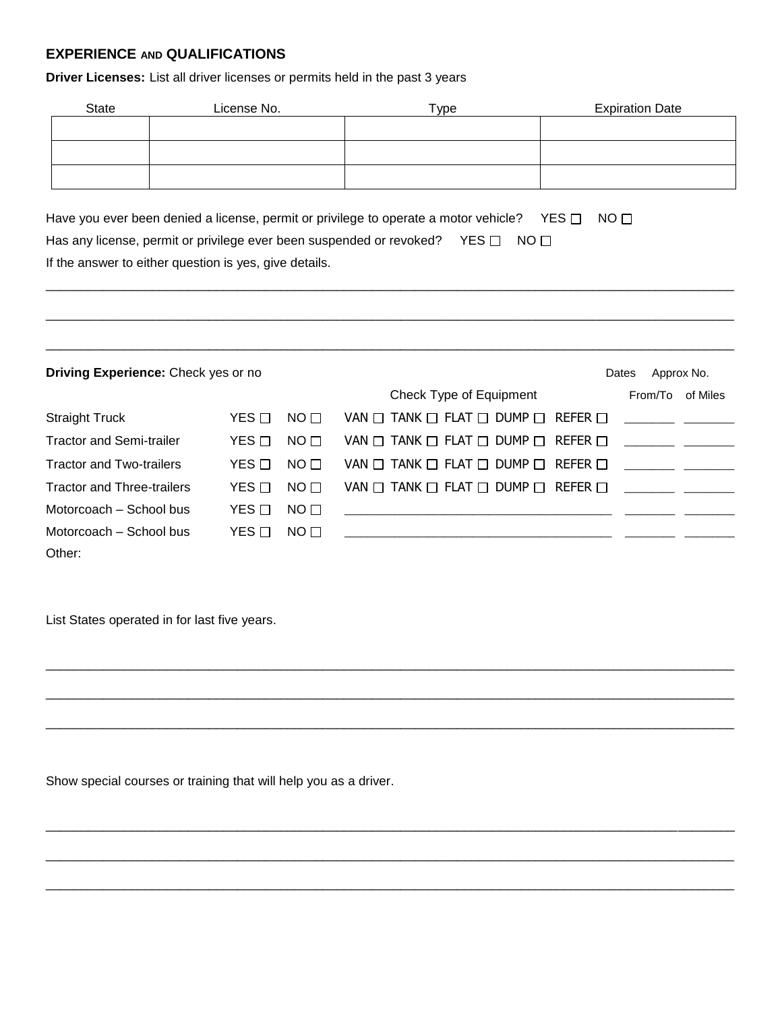# **EXPERIENCE AND QUALIFICATIONS**

**Driver Licenses:** List all driver licenses or permits held in the past 3 years

| State | License No. | Type                                                                                                                                                               | <b>Expiration Date</b> |
|-------|-------------|--------------------------------------------------------------------------------------------------------------------------------------------------------------------|------------------------|
|       |             |                                                                                                                                                                    |                        |
|       |             |                                                                                                                                                                    |                        |
|       |             |                                                                                                                                                                    |                        |
| .     | .           | $\mathbf{r}$ , $\mathbf{r}$ , $\mathbf{r}$ , $\mathbf{r}$ , $\mathbf{r}$ , $\mathbf{r}$ , $\mathbf{r}$ , $\mathbf{r}$ , $\mathbf{r}$ , $\mathbf{r}$ , $\mathbf{r}$ |                        |

\_\_\_\_\_\_\_\_\_\_\_\_\_\_\_\_\_\_\_\_\_\_\_\_\_\_\_\_\_\_\_\_\_\_\_\_\_\_\_\_\_\_\_\_\_\_\_\_\_\_\_\_\_\_\_\_\_\_\_\_\_\_\_\_\_\_\_\_\_\_\_\_\_\_\_\_\_\_\_\_\_\_\_\_\_\_\_\_\_\_\_\_\_\_\_\_\_

 $\Box$ 

Have you ever been denied a license, permit or privilege to operate a motor vehicle? YES  $\Box$  NO  $\Box$ Has any license, permit or privilege ever been suspended or revoked? YES  $\Box$  NO  $\Box$ 

If the answer to either question is yes, give details.

| <b>Driving Experience:</b> Check yes or no<br>Approx No.<br>Dates |                  |                 |                                                             |         |          |  |
|-------------------------------------------------------------------|------------------|-----------------|-------------------------------------------------------------|---------|----------|--|
|                                                                   |                  |                 | Check Type of Equipment                                     | From/To | of Miles |  |
| <b>Straight Truck</b>                                             | $YES$ $\Box$     | $N$ O $\Box$    | VAN $\Box$ TANK $\Box$ FLAT $\Box$ DUMP $\Box$ REFER $\Box$ |         |          |  |
| <b>Tractor and Semi-trailer</b>                                   | $YES \Box$       | $N$ O $\Box$    | VAN $\Box$ TANK $\Box$ FLAT $\Box$ DUMP $\Box$ REFER $\Box$ |         |          |  |
| <b>Tractor and Two-trailers</b>                                   | YES $\Box$       | NO <sub>1</sub> | VAN $\Box$ TANK $\Box$ FLAT $\Box$ DUMP $\Box$ REFER $\Box$ |         |          |  |
| <b>Tractor and Three-trailers</b>                                 | $YES \Box$       | NO <sub>1</sub> | VAN $\Box$ Tank $\Box$ Flat $\Box$ DUMP $\Box$ Refer $\Box$ |         |          |  |
| Motorcoach – School bus                                           | YES <sub>I</sub> | NO <sub>1</sub> |                                                             |         |          |  |
| Motorcoach – School bus                                           | YES $\Box$       | $N$ O $\Box$    |                                                             |         |          |  |
| Other:                                                            |                  |                 |                                                             |         |          |  |

\_\_\_\_\_\_\_\_\_\_\_\_\_\_\_\_\_\_\_\_\_\_\_\_\_\_\_\_\_\_\_\_\_\_\_\_\_\_\_\_\_\_\_\_\_\_\_\_\_\_\_\_\_\_\_\_\_\_\_\_\_\_\_\_\_\_\_\_\_\_\_\_\_\_\_\_\_\_\_\_\_\_\_\_\_\_\_\_\_\_\_\_\_\_\_\_\_

 $\Box$ 

 $\Box$ 

 $\Box$ 

\_\_\_\_\_\_\_\_\_\_\_\_\_\_\_\_\_\_\_\_\_\_\_\_\_\_\_\_\_\_\_\_\_\_\_\_\_\_\_\_\_\_\_\_\_\_\_\_\_\_\_\_\_\_\_\_\_\_\_\_\_\_\_\_\_\_\_\_\_\_\_\_\_\_\_\_\_\_\_\_\_\_\_\_\_\_\_\_\_\_\_\_\_\_\_\_\_

\_\_\_\_\_\_\_\_\_\_\_\_\_\_\_\_\_\_\_\_\_\_\_\_\_\_\_\_\_\_\_\_\_\_\_\_\_\_\_\_\_\_\_\_\_\_\_\_\_\_\_\_\_\_\_\_\_\_\_\_\_\_\_\_\_\_\_\_\_\_\_\_\_\_\_\_\_\_\_\_\_\_\_\_\_\_\_\_\_\_\_\_\_\_\_\_\_

List States operated in for last five years.

Show special courses or training that will help you as a driver.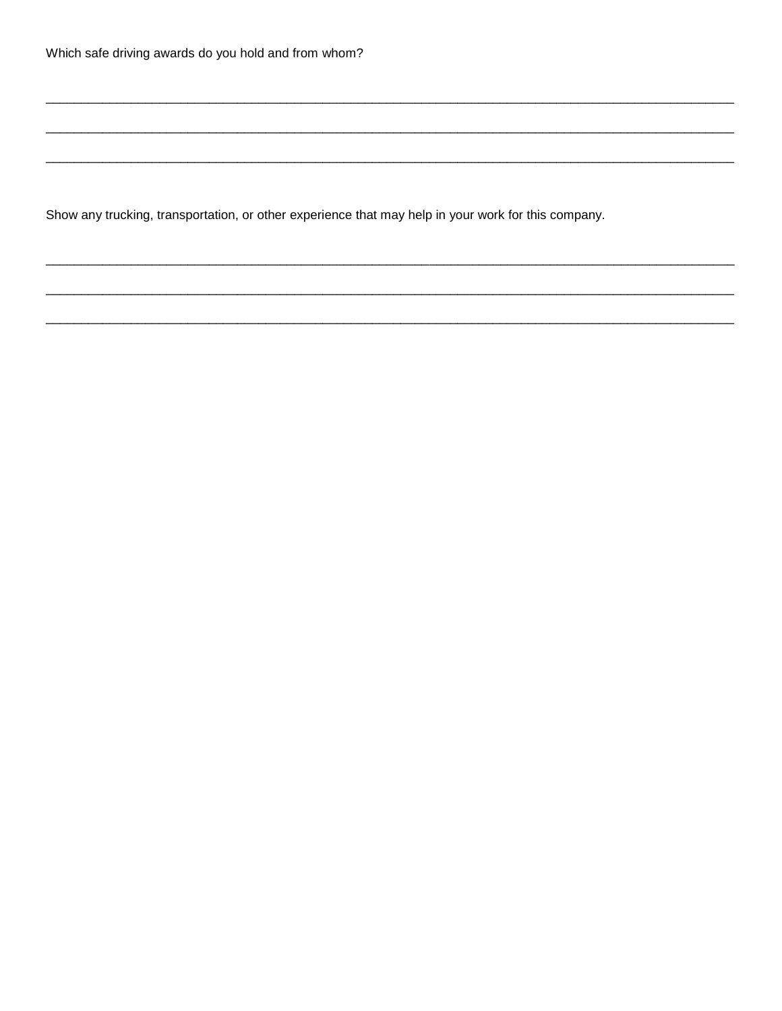Show any trucking, transportation, or other experience that may help in your work for this company.